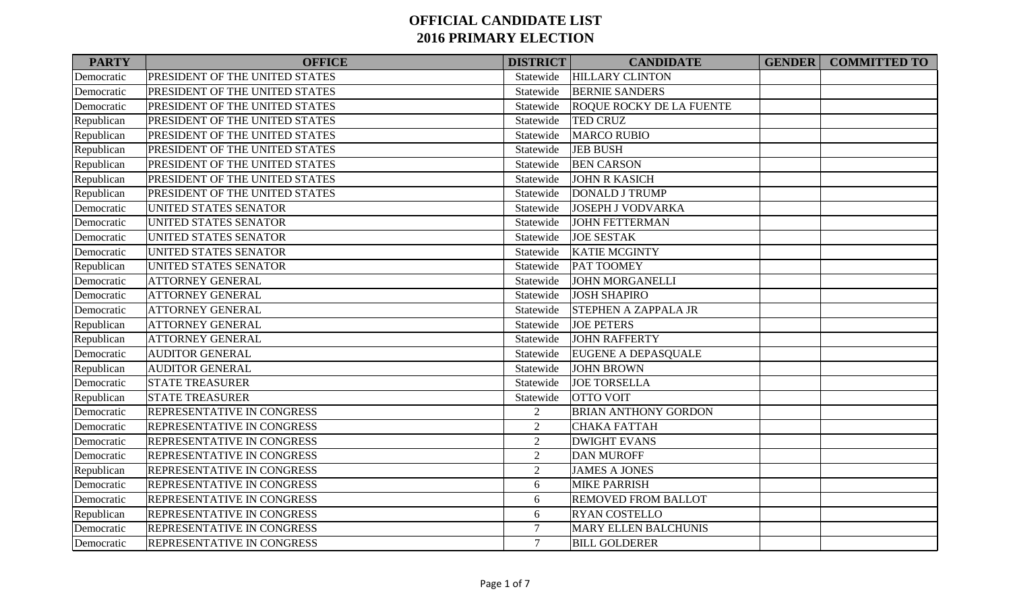| <b>PARTY</b> | <b>OFFICE</b>                     | <b>DISTRICT</b> | <b>CANDIDATE</b>                | <b>GENDER COMMITTED TO</b> |
|--------------|-----------------------------------|-----------------|---------------------------------|----------------------------|
| Democratic   | PRESIDENT OF THE UNITED STATES    | Statewide       | <b>HILLARY CLINTON</b>          |                            |
| Democratic   | PRESIDENT OF THE UNITED STATES    | Statewide       | <b>BERNIE SANDERS</b>           |                            |
| Democratic   | PRESIDENT OF THE UNITED STATES    | Statewide       | <b>ROQUE ROCKY DE LA FUENTE</b> |                            |
| Republican   | PRESIDENT OF THE UNITED STATES    | Statewide       | <b>TED CRUZ</b>                 |                            |
| Republican   | PRESIDENT OF THE UNITED STATES    | Statewide       | <b>MARCO RUBIO</b>              |                            |
| Republican   | PRESIDENT OF THE UNITED STATES    | Statewide       | <b>JEB BUSH</b>                 |                            |
| Republican   | PRESIDENT OF THE UNITED STATES    | Statewide       | <b>BEN CARSON</b>               |                            |
| Republican   | PRESIDENT OF THE UNITED STATES    | Statewide       | <b>JOHN R KASICH</b>            |                            |
| Republican   | PRESIDENT OF THE UNITED STATES    | Statewide       | <b>DONALD J TRUMP</b>           |                            |
| Democratic   | UNITED STATES SENATOR             | Statewide       | <b>JOSEPH J VODVARKA</b>        |                            |
| Democratic   | UNITED STATES SENATOR             | Statewide       | <b>JOHN FETTERMAN</b>           |                            |
| Democratic   | <b>UNITED STATES SENATOR</b>      | Statewide       | <b>JOE SESTAK</b>               |                            |
| Democratic   | <b>UNITED STATES SENATOR</b>      | Statewide       | <b>KATIE MCGINTY</b>            |                            |
| Republican   | UNITED STATES SENATOR             | Statewide       | <b>PAT TOOMEY</b>               |                            |
| Democratic   | <b>ATTORNEY GENERAL</b>           | Statewide       | <b>JOHN MORGANELLI</b>          |                            |
| Democratic   | ATTORNEY GENERAL                  | Statewide       | <b>JOSH SHAPIRO</b>             |                            |
| Democratic   | <b>ATTORNEY GENERAL</b>           | Statewide       | <b>STEPHEN A ZAPPALA JR</b>     |                            |
| Republican   | <b>ATTORNEY GENERAL</b>           | Statewide       | <b>JOE PETERS</b>               |                            |
| Republican   | <b>ATTORNEY GENERAL</b>           | Statewide       | <b>JOHN RAFFERTY</b>            |                            |
| Democratic   | <b>AUDITOR GENERAL</b>            | Statewide       | <b>EUGENE A DEPASQUALE</b>      |                            |
| Republican   | <b>AUDITOR GENERAL</b>            | Statewide       | <b>JOHN BROWN</b>               |                            |
| Democratic   | <b>STATE TREASURER</b>            | Statewide       | <b>JOE TORSELLA</b>             |                            |
| Republican   | <b>STATE TREASURER</b>            | Statewide       | <b>OTTO VOIT</b>                |                            |
| Democratic   | REPRESENTATIVE IN CONGRESS        | 2               | <b>BRIAN ANTHONY GORDON</b>     |                            |
| Democratic   | REPRESENTATIVE IN CONGRESS        | 2               | <b>CHAKA FATTAH</b>             |                            |
| Democratic   | REPRESENTATIVE IN CONGRESS        | $\overline{2}$  | <b>DWIGHT EVANS</b>             |                            |
| Democratic   | <b>REPRESENTATIVE IN CONGRESS</b> | $\overline{2}$  | <b>DAN MUROFF</b>               |                            |
| Republican   | REPRESENTATIVE IN CONGRESS        | $\overline{2}$  | <b>JAMES A JONES</b>            |                            |
| Democratic   | REPRESENTATIVE IN CONGRESS        | 6               | <b>MIKE PARRISH</b>             |                            |
| Democratic   | <b>REPRESENTATIVE IN CONGRESS</b> | 6               | <b>REMOVED FROM BALLOT</b>      |                            |
| Republican   | REPRESENTATIVE IN CONGRESS        | 6               | <b>RYAN COSTELLO</b>            |                            |
| Democratic   | REPRESENTATIVE IN CONGRESS        | $\tau$          | <b>MARY ELLEN BALCHUNIS</b>     |                            |
| Democratic   | REPRESENTATIVE IN CONGRESS        | $\tau$          | <b>BILL GOLDERER</b>            |                            |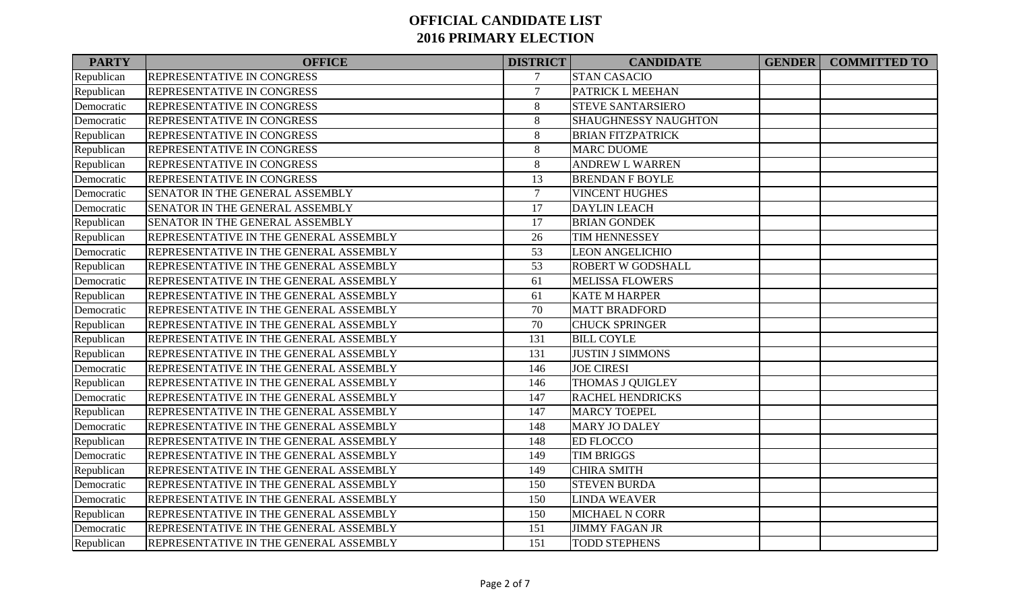| <b>PARTY</b> | <b>OFFICE</b>                          | <b>DISTRICT</b> | <b>CANDIDATE</b>         | <b>GENDER</b> | <b>COMMITTED TO</b> |
|--------------|----------------------------------------|-----------------|--------------------------|---------------|---------------------|
| Republican   | <b>REPRESENTATIVE IN CONGRESS</b>      | $\overline{7}$  | <b>STAN CASACIO</b>      |               |                     |
| Republican   | <b>REPRESENTATIVE IN CONGRESS</b>      | $\overline{7}$  | PATRICK L MEEHAN         |               |                     |
| Democratic   | <b>REPRESENTATIVE IN CONGRESS</b>      | $8\,$           | <b>STEVE SANTARSIERO</b> |               |                     |
| Democratic   | REPRESENTATIVE IN CONGRESS             | $\,8\,$         | SHAUGHNESSY NAUGHTON     |               |                     |
| Republican   | <b>REPRESENTATIVE IN CONGRESS</b>      | $\,8\,$         | <b>BRIAN FITZPATRICK</b> |               |                     |
| Republican   | REPRESENTATIVE IN CONGRESS             | $\,8\,$         | <b>MARC DUOME</b>        |               |                     |
| Republican   | <b>REPRESENTATIVE IN CONGRESS</b>      | 8               | <b>ANDREW L WARREN</b>   |               |                     |
| Democratic   | <b>REPRESENTATIVE IN CONGRESS</b>      | 13              | <b>BRENDAN F BOYLE</b>   |               |                     |
| Democratic   | SENATOR IN THE GENERAL ASSEMBLY        | $\overline{7}$  | <b>VINCENT HUGHES</b>    |               |                     |
| Democratic   | SENATOR IN THE GENERAL ASSEMBLY        | 17              | <b>DAYLIN LEACH</b>      |               |                     |
| Republican   | SENATOR IN THE GENERAL ASSEMBLY        | 17              | <b>BRIAN GONDEK</b>      |               |                     |
| Republican   | REPRESENTATIVE IN THE GENERAL ASSEMBLY | 26              | TIM HENNESSEY            |               |                     |
| Democratic   | REPRESENTATIVE IN THE GENERAL ASSEMBLY | 53              | <b>LEON ANGELICHIO</b>   |               |                     |
| Republican   | REPRESENTATIVE IN THE GENERAL ASSEMBLY | 53              | <b>ROBERT W GODSHALL</b> |               |                     |
| Democratic   | REPRESENTATIVE IN THE GENERAL ASSEMBLY | 61              | <b>MELISSA FLOWERS</b>   |               |                     |
| Republican   | REPRESENTATIVE IN THE GENERAL ASSEMBLY | 61              | <b>KATE M HARPER</b>     |               |                     |
| Democratic   | REPRESENTATIVE IN THE GENERAL ASSEMBLY | 70              | <b>MATT BRADFORD</b>     |               |                     |
| Republican   | REPRESENTATIVE IN THE GENERAL ASSEMBLY | 70              | <b>CHUCK SPRINGER</b>    |               |                     |
| Republican   | REPRESENTATIVE IN THE GENERAL ASSEMBLY | 131             | <b>BILL COYLE</b>        |               |                     |
| Republican   | REPRESENTATIVE IN THE GENERAL ASSEMBLY | 131             | <b>JUSTIN J SIMMONS</b>  |               |                     |
| Democratic   | REPRESENTATIVE IN THE GENERAL ASSEMBLY | 146             | <b>JOE CIRESI</b>        |               |                     |
| Republican   | REPRESENTATIVE IN THE GENERAL ASSEMBLY | 146             | THOMAS J QUIGLEY         |               |                     |
| Democratic   | REPRESENTATIVE IN THE GENERAL ASSEMBLY | 147             | <b>RACHEL HENDRICKS</b>  |               |                     |
| Republican   | REPRESENTATIVE IN THE GENERAL ASSEMBLY | 147             | <b>MARCY TOEPEL</b>      |               |                     |
| Democratic   | REPRESENTATIVE IN THE GENERAL ASSEMBLY | 148             | <b>MARY JO DALEY</b>     |               |                     |
| Republican   | REPRESENTATIVE IN THE GENERAL ASSEMBLY | 148             | <b>ED FLOCCO</b>         |               |                     |
| Democratic   | REPRESENTATIVE IN THE GENERAL ASSEMBLY | 149             | <b>TIM BRIGGS</b>        |               |                     |
| Republican   | REPRESENTATIVE IN THE GENERAL ASSEMBLY | 149             | <b>CHIRA SMITH</b>       |               |                     |
| Democratic   | REPRESENTATIVE IN THE GENERAL ASSEMBLY | 150             | <b>STEVEN BURDA</b>      |               |                     |
| Democratic   | REPRESENTATIVE IN THE GENERAL ASSEMBLY | 150             | <b>LINDA WEAVER</b>      |               |                     |
| Republican   | REPRESENTATIVE IN THE GENERAL ASSEMBLY | 150             | <b>MICHAEL N CORR</b>    |               |                     |
| Democratic   | REPRESENTATIVE IN THE GENERAL ASSEMBLY | 151             | <b>JIMMY FAGAN JR</b>    |               |                     |
| Republican   | REPRESENTATIVE IN THE GENERAL ASSEMBLY | 151             | <b>TODD STEPHENS</b>     |               |                     |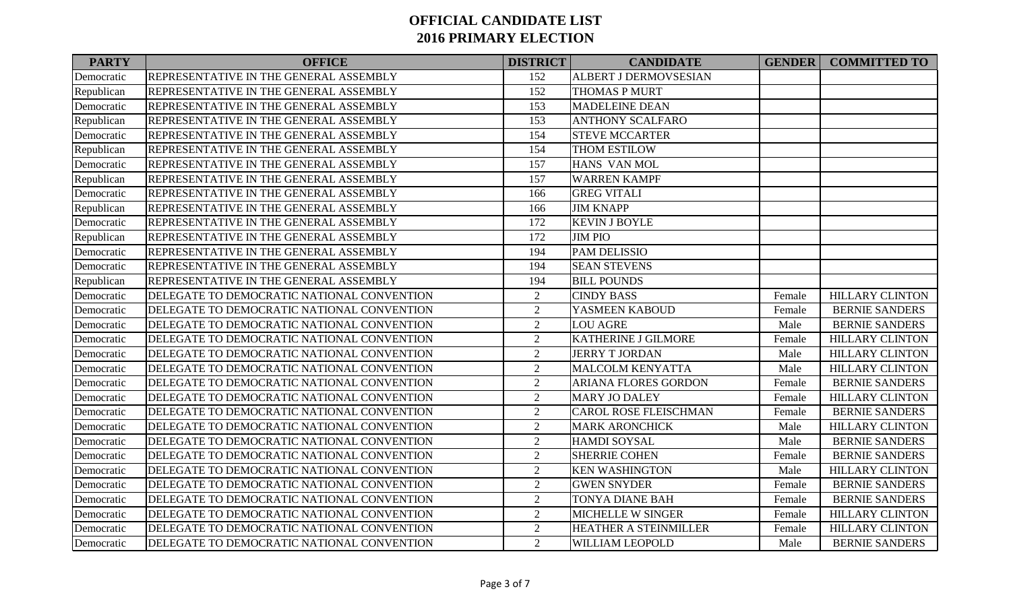| <b>PARTY</b> | <b>OFFICE</b>                              | <b>DISTRICT</b> | <b>CANDIDATE</b>             |        | <b>GENDER COMMITTED TO</b> |
|--------------|--------------------------------------------|-----------------|------------------------------|--------|----------------------------|
| Democratic   | REPRESENTATIVE IN THE GENERAL ASSEMBLY     | 152             | <b>ALBERT J DERMOVSESIAN</b> |        |                            |
| Republican   | REPRESENTATIVE IN THE GENERAL ASSEMBLY     | 152             | THOMAS P MURT                |        |                            |
| Democratic   | REPRESENTATIVE IN THE GENERAL ASSEMBLY     | 153             | <b>MADELEINE DEAN</b>        |        |                            |
| Republican   | REPRESENTATIVE IN THE GENERAL ASSEMBLY     | 153             | <b>ANTHONY SCALFARO</b>      |        |                            |
| Democratic   | REPRESENTATIVE IN THE GENERAL ASSEMBLY     | 154             | <b>STEVE MCCARTER</b>        |        |                            |
| Republican   | REPRESENTATIVE IN THE GENERAL ASSEMBLY     | 154             | THOM ESTILOW                 |        |                            |
| Democratic   | REPRESENTATIVE IN THE GENERAL ASSEMBLY     | 157             | HANS VAN MOL                 |        |                            |
| Republican   | REPRESENTATIVE IN THE GENERAL ASSEMBLY     | 157             | <b>WARREN KAMPF</b>          |        |                            |
| Democratic   | REPRESENTATIVE IN THE GENERAL ASSEMBLY     | 166             | <b>GREG VITALI</b>           |        |                            |
| Republican   | REPRESENTATIVE IN THE GENERAL ASSEMBLY     | 166             | <b>JIM KNAPP</b>             |        |                            |
| Democratic   | REPRESENTATIVE IN THE GENERAL ASSEMBLY     | 172             | <b>KEVIN J BOYLE</b>         |        |                            |
| Republican   | REPRESENTATIVE IN THE GENERAL ASSEMBLY     | 172             | <b>JIM PIO</b>               |        |                            |
| Democratic   | REPRESENTATIVE IN THE GENERAL ASSEMBLY     | 194             | <b>PAM DELISSIO</b>          |        |                            |
| Democratic   | REPRESENTATIVE IN THE GENERAL ASSEMBLY     | 194             | <b>SEAN STEVENS</b>          |        |                            |
| Republican   | REPRESENTATIVE IN THE GENERAL ASSEMBLY     | 194             | <b>BILL POUNDS</b>           |        |                            |
| Democratic   | DELEGATE TO DEMOCRATIC NATIONAL CONVENTION | $\overline{2}$  | <b>CINDY BASS</b>            | Female | <b>HILLARY CLINTON</b>     |
| Democratic   | DELEGATE TO DEMOCRATIC NATIONAL CONVENTION | $\overline{2}$  | YASMEEN KABOUD               | Female | <b>BERNIE SANDERS</b>      |
| Democratic   | DELEGATE TO DEMOCRATIC NATIONAL CONVENTION | $\overline{2}$  | <b>LOU AGRE</b>              | Male   | <b>BERNIE SANDERS</b>      |
| Democratic   | DELEGATE TO DEMOCRATIC NATIONAL CONVENTION | $\overline{2}$  | KATHERINE J GILMORE          | Female | <b>HILLARY CLINTON</b>     |
| Democratic   | DELEGATE TO DEMOCRATIC NATIONAL CONVENTION | $\overline{2}$  | <b>JERRY T JORDAN</b>        | Male   | <b>HILLARY CLINTON</b>     |
| Democratic   | DELEGATE TO DEMOCRATIC NATIONAL CONVENTION | $\overline{2}$  | <b>MALCOLM KENYATTA</b>      | Male   | <b>HILLARY CLINTON</b>     |
| Democratic   | DELEGATE TO DEMOCRATIC NATIONAL CONVENTION | $\overline{2}$  | <b>ARIANA FLORES GORDON</b>  | Female | <b>BERNIE SANDERS</b>      |
| Democratic   | DELEGATE TO DEMOCRATIC NATIONAL CONVENTION | $\overline{2}$  | <b>MARY JO DALEY</b>         | Female | <b>HILLARY CLINTON</b>     |
| Democratic   | DELEGATE TO DEMOCRATIC NATIONAL CONVENTION | $\overline{2}$  | <b>CAROL ROSE FLEISCHMAN</b> | Female | <b>BERNIE SANDERS</b>      |
| Democratic   | DELEGATE TO DEMOCRATIC NATIONAL CONVENTION | $\overline{2}$  | <b>MARK ARONCHICK</b>        | Male   | <b>HILLARY CLINTON</b>     |
| Democratic   | DELEGATE TO DEMOCRATIC NATIONAL CONVENTION | $\overline{2}$  | <b>HAMDI SOYSAL</b>          | Male   | <b>BERNIE SANDERS</b>      |
| Democratic   | DELEGATE TO DEMOCRATIC NATIONAL CONVENTION | $\sqrt{2}$      | <b>SHERRIE COHEN</b>         | Female | <b>BERNIE SANDERS</b>      |
| Democratic   | DELEGATE TO DEMOCRATIC NATIONAL CONVENTION | $\overline{2}$  | <b>KEN WASHINGTON</b>        | Male   | <b>HILLARY CLINTON</b>     |
| Democratic   | DELEGATE TO DEMOCRATIC NATIONAL CONVENTION | 2               | <b>GWEN SNYDER</b>           | Female | BERNIE SANDERS             |
| Democratic   | DELEGATE TO DEMOCRATIC NATIONAL CONVENTION | 2               | <b>TONYA DIANE BAH</b>       | Female | <b>BERNIE SANDERS</b>      |
| Democratic   | DELEGATE TO DEMOCRATIC NATIONAL CONVENTION | $\overline{2}$  | <b>MICHELLE W SINGER</b>     | Female | <b>HILLARY CLINTON</b>     |
| Democratic   | DELEGATE TO DEMOCRATIC NATIONAL CONVENTION | $\overline{2}$  | HEATHER A STEINMILLER        | Female | <b>HILLARY CLINTON</b>     |
| Democratic   | DELEGATE TO DEMOCRATIC NATIONAL CONVENTION | 2               | WILLIAM LEOPOLD              | Male   | <b>BERNIE SANDERS</b>      |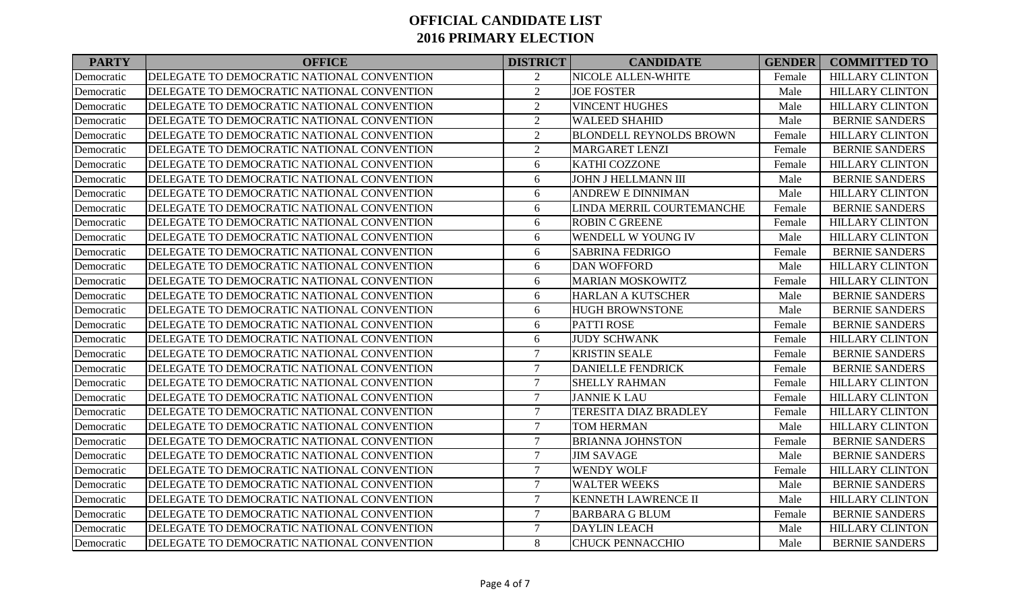| <b>PARTY</b> | <b>OFFICE</b>                              | <b>DISTRICT</b> | <b>CANDIDATE</b>               | <b>GENDER</b> | <b>COMMITTED TO</b>    |
|--------------|--------------------------------------------|-----------------|--------------------------------|---------------|------------------------|
| Democratic   | DELEGATE TO DEMOCRATIC NATIONAL CONVENTION | 2               | NICOLE ALLEN-WHITE             | Female        | <b>HILLARY CLINTON</b> |
| Democratic   | DELEGATE TO DEMOCRATIC NATIONAL CONVENTION | $\overline{2}$  | <b>JOE FOSTER</b>              | Male          | <b>HILLARY CLINTON</b> |
| Democratic   | DELEGATE TO DEMOCRATIC NATIONAL CONVENTION | $\overline{2}$  | <b>VINCENT HUGHES</b>          | Male          | <b>HILLARY CLINTON</b> |
| Democratic   | DELEGATE TO DEMOCRATIC NATIONAL CONVENTION | $\overline{2}$  | <b>WALEED SHAHID</b>           | Male          | <b>BERNIE SANDERS</b>  |
| Democratic   | DELEGATE TO DEMOCRATIC NATIONAL CONVENTION | $\overline{2}$  | <b>BLONDELL REYNOLDS BROWN</b> | Female        | <b>HILLARY CLINTON</b> |
| Democratic   | DELEGATE TO DEMOCRATIC NATIONAL CONVENTION | $\overline{2}$  | <b>MARGARET LENZI</b>          | Female        | <b>BERNIE SANDERS</b>  |
| Democratic   | DELEGATE TO DEMOCRATIC NATIONAL CONVENTION | 6               | KATHI COZZONE                  | Female        | <b>HILLARY CLINTON</b> |
| Democratic   | DELEGATE TO DEMOCRATIC NATIONAL CONVENTION | 6               | JOHN J HELLMANN III            | Male          | <b>BERNIE SANDERS</b>  |
| Democratic   | DELEGATE TO DEMOCRATIC NATIONAL CONVENTION | 6               | <b>ANDREW E DINNIMAN</b>       | Male          | <b>HILLARY CLINTON</b> |
| Democratic   | DELEGATE TO DEMOCRATIC NATIONAL CONVENTION | 6               | LINDA MERRIL COURTEMANCHE      | Female        | <b>BERNIE SANDERS</b>  |
| Democratic   | DELEGATE TO DEMOCRATIC NATIONAL CONVENTION | 6               | <b>ROBIN C GREENE</b>          | Female        | <b>HILLARY CLINTON</b> |
| Democratic   | DELEGATE TO DEMOCRATIC NATIONAL CONVENTION | 6               | WENDELL W YOUNG IV             | Male          | <b>HILLARY CLINTON</b> |
| Democratic   | DELEGATE TO DEMOCRATIC NATIONAL CONVENTION | 6               | <b>SABRINA FEDRIGO</b>         | Female        | <b>BERNIE SANDERS</b>  |
| Democratic   | DELEGATE TO DEMOCRATIC NATIONAL CONVENTION | 6               | <b>DAN WOFFORD</b>             | Male          | <b>HILLARY CLINTON</b> |
| Democratic   | DELEGATE TO DEMOCRATIC NATIONAL CONVENTION | 6               | <b>MARIAN MOSKOWITZ</b>        | Female        | <b>HILLARY CLINTON</b> |
| Democratic   | DELEGATE TO DEMOCRATIC NATIONAL CONVENTION | 6               | <b>HARLAN A KUTSCHER</b>       | Male          | <b>BERNIE SANDERS</b>  |
| Democratic   | DELEGATE TO DEMOCRATIC NATIONAL CONVENTION | 6               | <b>HUGH BROWNSTONE</b>         | Male          | <b>BERNIE SANDERS</b>  |
| Democratic   | DELEGATE TO DEMOCRATIC NATIONAL CONVENTION | 6               | <b>PATTI ROSE</b>              | Female        | <b>BERNIE SANDERS</b>  |
| Democratic   | DELEGATE TO DEMOCRATIC NATIONAL CONVENTION | 6               | <b>JUDY SCHWANK</b>            | Female        | <b>HILLARY CLINTON</b> |
| Democratic   | DELEGATE TO DEMOCRATIC NATIONAL CONVENTION | $\overline{7}$  | <b>KRISTIN SEALE</b>           | Female        | <b>BERNIE SANDERS</b>  |
| Democratic   | DELEGATE TO DEMOCRATIC NATIONAL CONVENTION | $\overline{7}$  | <b>DANIELLE FENDRICK</b>       | Female        | <b>BERNIE SANDERS</b>  |
| Democratic   | DELEGATE TO DEMOCRATIC NATIONAL CONVENTION | $\overline{7}$  | <b>SHELLY RAHMAN</b>           | Female        | <b>HILLARY CLINTON</b> |
| Democratic   | DELEGATE TO DEMOCRATIC NATIONAL CONVENTION | $\tau$          | <b>JANNIE K LAU</b>            | Female        | <b>HILLARY CLINTON</b> |
| Democratic   | DELEGATE TO DEMOCRATIC NATIONAL CONVENTION | $\overline{7}$  | <b>TERESITA DIAZ BRADLEY</b>   | Female        | <b>HILLARY CLINTON</b> |
| Democratic   | DELEGATE TO DEMOCRATIC NATIONAL CONVENTION | $\tau$          | <b>TOM HERMAN</b>              | Male          | <b>HILLARY CLINTON</b> |
| Democratic   | DELEGATE TO DEMOCRATIC NATIONAL CONVENTION | $\overline{7}$  | <b>BRIANNA JOHNSTON</b>        | Female        | <b>BERNIE SANDERS</b>  |
| Democratic   | DELEGATE TO DEMOCRATIC NATIONAL CONVENTION | $\overline{7}$  | <b>JIM SAVAGE</b>              | Male          | <b>BERNIE SANDERS</b>  |
| Democratic   | DELEGATE TO DEMOCRATIC NATIONAL CONVENTION | $\tau$          | <b>WENDY WOLF</b>              | Female        | <b>HILLARY CLINTON</b> |
| Democratic   | DELEGATE TO DEMOCRATIC NATIONAL CONVENTION | $\overline{7}$  | <b>WALTER WEEKS</b>            | Male          | <b>BERNIE SANDERS</b>  |
| Democratic   | DELEGATE TO DEMOCRATIC NATIONAL CONVENTION | $\overline{7}$  | <b>KENNETH LAWRENCE II</b>     | Male          | <b>HILLARY CLINTON</b> |
| Democratic   | DELEGATE TO DEMOCRATIC NATIONAL CONVENTION | $\overline{7}$  | <b>BARBARA G BLUM</b>          | Female        | <b>BERNIE SANDERS</b>  |
| Democratic   | DELEGATE TO DEMOCRATIC NATIONAL CONVENTION | $\tau$          | <b>DAYLIN LEACH</b>            | Male          | <b>HILLARY CLINTON</b> |
| Democratic   | DELEGATE TO DEMOCRATIC NATIONAL CONVENTION | 8               | <b>CHUCK PENNACCHIO</b>        | Male          | <b>BERNIE SANDERS</b>  |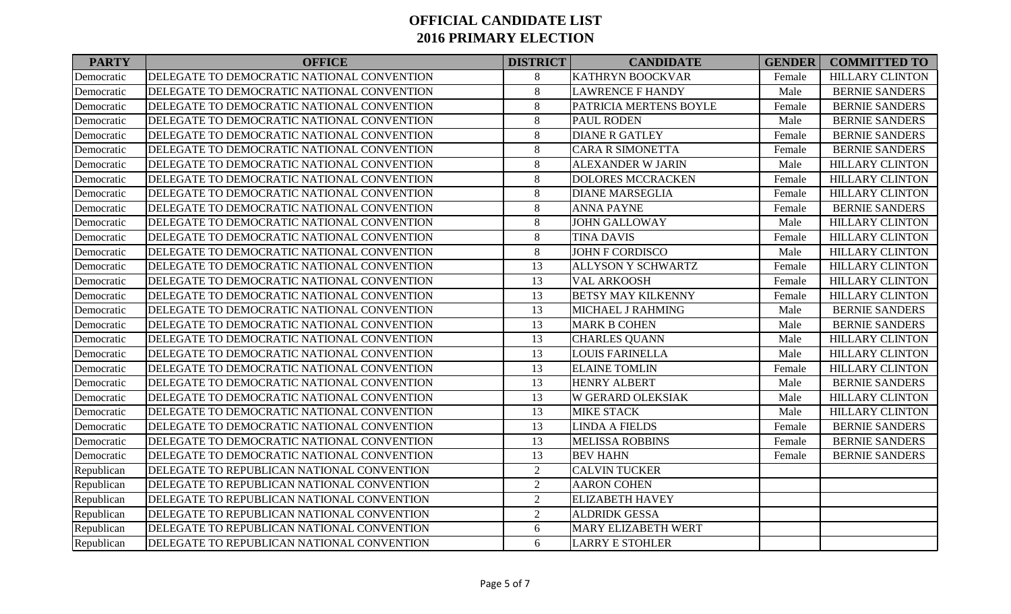| <b>PARTY</b> | <b>OFFICE</b>                              | <b>DISTRICT</b> | <b>CANDIDATE</b>           | <b>GENDER</b> | <b>COMMITTED TO</b>    |
|--------------|--------------------------------------------|-----------------|----------------------------|---------------|------------------------|
| Democratic   | DELEGATE TO DEMOCRATIC NATIONAL CONVENTION | 8               | <b>KATHRYN BOOCKVAR</b>    | Female        | <b>HILLARY CLINTON</b> |
| Democratic   | DELEGATE TO DEMOCRATIC NATIONAL CONVENTION | $\,8\,$         | <b>LAWRENCE F HANDY</b>    | Male          | <b>BERNIE SANDERS</b>  |
| Democratic   | DELEGATE TO DEMOCRATIC NATIONAL CONVENTION | $\,8\,$         | PATRICIA MERTENS BOYLE     | Female        | <b>BERNIE SANDERS</b>  |
| Democratic   | DELEGATE TO DEMOCRATIC NATIONAL CONVENTION | 8               | <b>PAUL RODEN</b>          | Male          | <b>BERNIE SANDERS</b>  |
| Democratic   | DELEGATE TO DEMOCRATIC NATIONAL CONVENTION | $\,8\,$         | <b>DIANE R GATLEY</b>      | Female        | <b>BERNIE SANDERS</b>  |
| Democratic   | DELEGATE TO DEMOCRATIC NATIONAL CONVENTION | $\,8\,$         | <b>CARA R SIMONETTA</b>    | Female        | <b>BERNIE SANDERS</b>  |
| Democratic   | DELEGATE TO DEMOCRATIC NATIONAL CONVENTION | $\,8\,$         | <b>ALEXANDER W JARIN</b>   | Male          | <b>HILLARY CLINTON</b> |
| Democratic   | DELEGATE TO DEMOCRATIC NATIONAL CONVENTION | $\,8\,$         | <b>DOLORES MCCRACKEN</b>   | Female        | <b>HILLARY CLINTON</b> |
| Democratic   | DELEGATE TO DEMOCRATIC NATIONAL CONVENTION | $\,8\,$         | <b>DIANE MARSEGLIA</b>     | Female        | <b>HILLARY CLINTON</b> |
| Democratic   | DELEGATE TO DEMOCRATIC NATIONAL CONVENTION | $8\,$           | <b>ANNA PAYNE</b>          | Female        | <b>BERNIE SANDERS</b>  |
| Democratic   | DELEGATE TO DEMOCRATIC NATIONAL CONVENTION | 8               | <b>JOHN GALLOWAY</b>       | Male          | <b>HILLARY CLINTON</b> |
| Democratic   | DELEGATE TO DEMOCRATIC NATIONAL CONVENTION | $\,8\,$         | <b>TINA DAVIS</b>          | Female        | <b>HILLARY CLINTON</b> |
| Democratic   | DELEGATE TO DEMOCRATIC NATIONAL CONVENTION | $\,8\,$         | <b>JOHN F CORDISCO</b>     | Male          | <b>HILLARY CLINTON</b> |
| Democratic   | DELEGATE TO DEMOCRATIC NATIONAL CONVENTION | 13              | <b>ALLYSON Y SCHWARTZ</b>  | Female        | <b>HILLARY CLINTON</b> |
| Democratic   | DELEGATE TO DEMOCRATIC NATIONAL CONVENTION | 13              | <b>VAL ARKOOSH</b>         | Female        | <b>HILLARY CLINTON</b> |
| Democratic   | DELEGATE TO DEMOCRATIC NATIONAL CONVENTION | 13              | <b>BETSY MAY KILKENNY</b>  | Female        | <b>HILLARY CLINTON</b> |
| Democratic   | DELEGATE TO DEMOCRATIC NATIONAL CONVENTION | 13              | MICHAEL J RAHMING          | Male          | <b>BERNIE SANDERS</b>  |
| Democratic   | DELEGATE TO DEMOCRATIC NATIONAL CONVENTION | 13              | <b>MARK B COHEN</b>        | Male          | <b>BERNIE SANDERS</b>  |
| Democratic   | DELEGATE TO DEMOCRATIC NATIONAL CONVENTION | 13              | <b>CHARLES QUANN</b>       | Male          | <b>HILLARY CLINTON</b> |
| Democratic   | DELEGATE TO DEMOCRATIC NATIONAL CONVENTION | 13              | <b>LOUIS FARINELLA</b>     | Male          | <b>HILLARY CLINTON</b> |
| Democratic   | DELEGATE TO DEMOCRATIC NATIONAL CONVENTION | 13              | <b>ELAINE TOMLIN</b>       | Female        | <b>HILLARY CLINTON</b> |
| Democratic   | DELEGATE TO DEMOCRATIC NATIONAL CONVENTION | 13              | <b>HENRY ALBERT</b>        | Male          | <b>BERNIE SANDERS</b>  |
| Democratic   | DELEGATE TO DEMOCRATIC NATIONAL CONVENTION | 13              | <b>W GERARD OLEKSIAK</b>   | Male          | <b>HILLARY CLINTON</b> |
| Democratic   | DELEGATE TO DEMOCRATIC NATIONAL CONVENTION | 13              | <b>MIKE STACK</b>          | Male          | <b>HILLARY CLINTON</b> |
| Democratic   | DELEGATE TO DEMOCRATIC NATIONAL CONVENTION | 13              | <b>LINDA A FIELDS</b>      | Female        | <b>BERNIE SANDERS</b>  |
| Democratic   | DELEGATE TO DEMOCRATIC NATIONAL CONVENTION | 13              | <b>MELISSA ROBBINS</b>     | Female        | <b>BERNIE SANDERS</b>  |
| Democratic   | DELEGATE TO DEMOCRATIC NATIONAL CONVENTION | 13              | <b>BEV HAHN</b>            | Female        | <b>BERNIE SANDERS</b>  |
| Republican   | DELEGATE TO REPUBLICAN NATIONAL CONVENTION | $\overline{2}$  | <b>CALVIN TUCKER</b>       |               |                        |
| Republican   | DELEGATE TO REPUBLICAN NATIONAL CONVENTION | $\overline{2}$  | <b>AARON COHEN</b>         |               |                        |
| Republican   | DELEGATE TO REPUBLICAN NATIONAL CONVENTION | $\overline{2}$  | <b>ELIZABETH HAVEY</b>     |               |                        |
| Republican   | DELEGATE TO REPUBLICAN NATIONAL CONVENTION | $\overline{2}$  | <b>ALDRIDK GESSA</b>       |               |                        |
| Republican   | DELEGATE TO REPUBLICAN NATIONAL CONVENTION | 6               | <b>MARY ELIZABETH WERT</b> |               |                        |
| Republican   | DELEGATE TO REPUBLICAN NATIONAL CONVENTION | 6               | <b>LARRY E STOHLER</b>     |               |                        |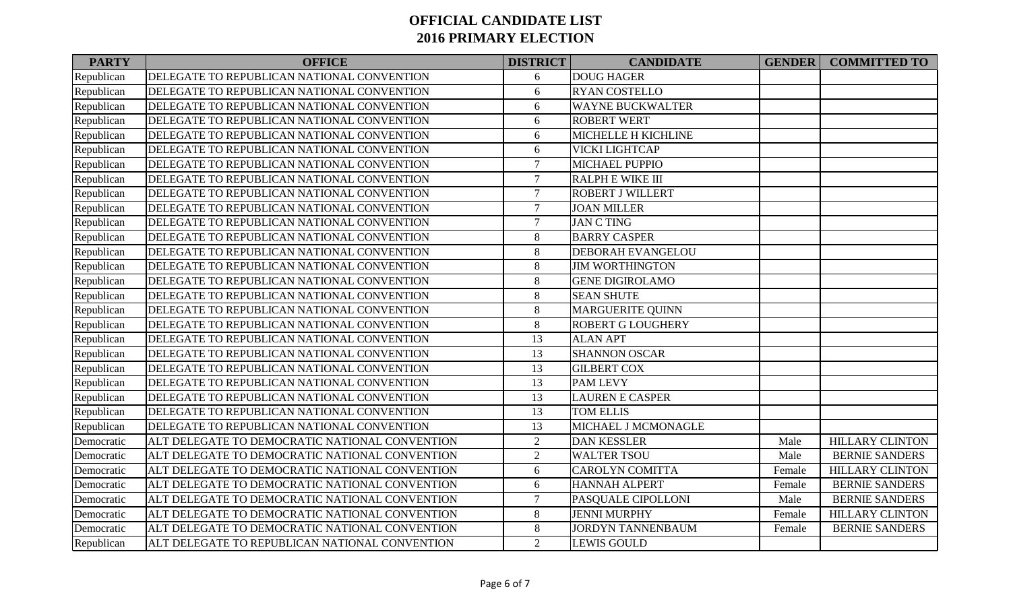| <b>PARTY</b> | <b>OFFICE</b>                                  | <b>DISTRICT</b> | <b>CANDIDATE</b>         | <b>GENDER</b> | <b>COMMITTED TO</b>    |
|--------------|------------------------------------------------|-----------------|--------------------------|---------------|------------------------|
| Republican   | DELEGATE TO REPUBLICAN NATIONAL CONVENTION     | 6               | <b>DOUG HAGER</b>        |               |                        |
| Republican   | DELEGATE TO REPUBLICAN NATIONAL CONVENTION     | 6               | <b>RYAN COSTELLO</b>     |               |                        |
| Republican   | DELEGATE TO REPUBLICAN NATIONAL CONVENTION     | 6               | <b>WAYNE BUCKWALTER</b>  |               |                        |
| Republican   | DELEGATE TO REPUBLICAN NATIONAL CONVENTION     | 6               | <b>ROBERT WERT</b>       |               |                        |
| Republican   | DELEGATE TO REPUBLICAN NATIONAL CONVENTION     | $6\,$           | MICHELLE H KICHLINE      |               |                        |
| Republican   | DELEGATE TO REPUBLICAN NATIONAL CONVENTION     | $6\,$           | VICKI LIGHTCAP           |               |                        |
| Republican   | DELEGATE TO REPUBLICAN NATIONAL CONVENTION     | $\overline{7}$  | <b>MICHAEL PUPPIO</b>    |               |                        |
| Republican   | DELEGATE TO REPUBLICAN NATIONAL CONVENTION     | $\overline{7}$  | <b>RALPH E WIKE III</b>  |               |                        |
| Republican   | DELEGATE TO REPUBLICAN NATIONAL CONVENTION     | $\overline{7}$  | <b>ROBERT J WILLERT</b>  |               |                        |
| Republican   | DELEGATE TO REPUBLICAN NATIONAL CONVENTION     | $\overline{7}$  | <b>JOAN MILLER</b>       |               |                        |
| Republican   | DELEGATE TO REPUBLICAN NATIONAL CONVENTION     | $\tau$          | <b>JAN C TING</b>        |               |                        |
| Republican   | DELEGATE TO REPUBLICAN NATIONAL CONVENTION     | $\,8\,$         | <b>BARRY CASPER</b>      |               |                        |
| Republican   | DELEGATE TO REPUBLICAN NATIONAL CONVENTION     | 8               | <b>DEBORAH EVANGELOU</b> |               |                        |
| Republican   | DELEGATE TO REPUBLICAN NATIONAL CONVENTION     | 8               | <b>JIM WORTHINGTON</b>   |               |                        |
| Republican   | DELEGATE TO REPUBLICAN NATIONAL CONVENTION     | $\,8\,$         | <b>GENE DIGIROLAMO</b>   |               |                        |
| Republican   | DELEGATE TO REPUBLICAN NATIONAL CONVENTION     | $\,8\,$         | <b>SEAN SHUTE</b>        |               |                        |
| Republican   | DELEGATE TO REPUBLICAN NATIONAL CONVENTION     | 8               | <b>MARGUERITE QUINN</b>  |               |                        |
| Republican   | DELEGATE TO REPUBLICAN NATIONAL CONVENTION     | 8               | <b>ROBERT G LOUGHERY</b> |               |                        |
| Republican   | DELEGATE TO REPUBLICAN NATIONAL CONVENTION     | 13              | <b>ALAN APT</b>          |               |                        |
| Republican   | DELEGATE TO REPUBLICAN NATIONAL CONVENTION     | 13              | <b>SHANNON OSCAR</b>     |               |                        |
| Republican   | DELEGATE TO REPUBLICAN NATIONAL CONVENTION     | 13              | <b>GILBERT COX</b>       |               |                        |
| Republican   | DELEGATE TO REPUBLICAN NATIONAL CONVENTION     | 13              | <b>PAM LEVY</b>          |               |                        |
| Republican   | DELEGATE TO REPUBLICAN NATIONAL CONVENTION     | 13              | <b>LAUREN E CASPER</b>   |               |                        |
| Republican   | DELEGATE TO REPUBLICAN NATIONAL CONVENTION     | 13              | <b>TOM ELLIS</b>         |               |                        |
| Republican   | DELEGATE TO REPUBLICAN NATIONAL CONVENTION     | 13              | MICHAEL J MCMONAGLE      |               |                        |
| Democratic   | ALT DELEGATE TO DEMOCRATIC NATIONAL CONVENTION | $\overline{2}$  | <b>DAN KESSLER</b>       | Male          | <b>HILLARY CLINTON</b> |
| Democratic   | ALT DELEGATE TO DEMOCRATIC NATIONAL CONVENTION | $\overline{2}$  | <b>WALTER TSOU</b>       | Male          | <b>BERNIE SANDERS</b>  |
| Democratic   | ALT DELEGATE TO DEMOCRATIC NATIONAL CONVENTION | 6               | <b>CAROLYN COMITTA</b>   | Female        | <b>HILLARY CLINTON</b> |
| Democratic   | ALT DELEGATE TO DEMOCRATIC NATIONAL CONVENTION | 6               | <b>HANNAH ALPERT</b>     | Female        | <b>BERNIE SANDERS</b>  |
| Democratic   | ALT DELEGATE TO DEMOCRATIC NATIONAL CONVENTION | $\tau$          | PASQUALE CIPOLLONI       | Male          | <b>BERNIE SANDERS</b>  |
| Democratic   | ALT DELEGATE TO DEMOCRATIC NATIONAL CONVENTION | $8\,$           | <b>JENNI MURPHY</b>      | Female        | <b>HILLARY CLINTON</b> |
| Democratic   | ALT DELEGATE TO DEMOCRATIC NATIONAL CONVENTION | $8\,$           | <b>JORDYN TANNENBAUM</b> | Female        | <b>BERNIE SANDERS</b>  |
| Republican   | ALT DELEGATE TO REPUBLICAN NATIONAL CONVENTION | $\overline{2}$  | <b>LEWIS GOULD</b>       |               |                        |